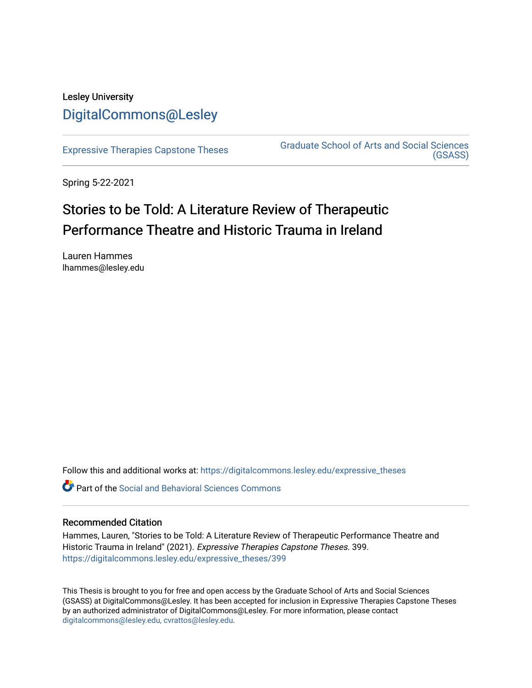## Lesley University [DigitalCommons@Lesley](https://digitalcommons.lesley.edu/)

[Expressive Therapies Capstone Theses](https://digitalcommons.lesley.edu/expressive_theses) Graduate School of Arts and Social Sciences [\(GSASS\)](https://digitalcommons.lesley.edu/gsass) 

Spring 5-22-2021

# Stories to be Told: A Literature Review of Therapeutic Performance Theatre and Historic Trauma in Ireland

Lauren Hammes lhammes@lesley.edu

Follow this and additional works at: [https://digitalcommons.lesley.edu/expressive\\_theses](https://digitalcommons.lesley.edu/expressive_theses?utm_source=digitalcommons.lesley.edu%2Fexpressive_theses%2F399&utm_medium=PDF&utm_campaign=PDFCoverPages)

Part of the [Social and Behavioral Sciences Commons](http://network.bepress.com/hgg/discipline/316?utm_source=digitalcommons.lesley.edu%2Fexpressive_theses%2F399&utm_medium=PDF&utm_campaign=PDFCoverPages) 

## Recommended Citation

Hammes, Lauren, "Stories to be Told: A Literature Review of Therapeutic Performance Theatre and Historic Trauma in Ireland" (2021). Expressive Therapies Capstone Theses. 399. [https://digitalcommons.lesley.edu/expressive\\_theses/399](https://digitalcommons.lesley.edu/expressive_theses/399?utm_source=digitalcommons.lesley.edu%2Fexpressive_theses%2F399&utm_medium=PDF&utm_campaign=PDFCoverPages)

This Thesis is brought to you for free and open access by the Graduate School of Arts and Social Sciences (GSASS) at DigitalCommons@Lesley. It has been accepted for inclusion in Expressive Therapies Capstone Theses by an authorized administrator of DigitalCommons@Lesley. For more information, please contact [digitalcommons@lesley.edu, cvrattos@lesley.edu](mailto:digitalcommons@lesley.edu,%20cvrattos@lesley.edu).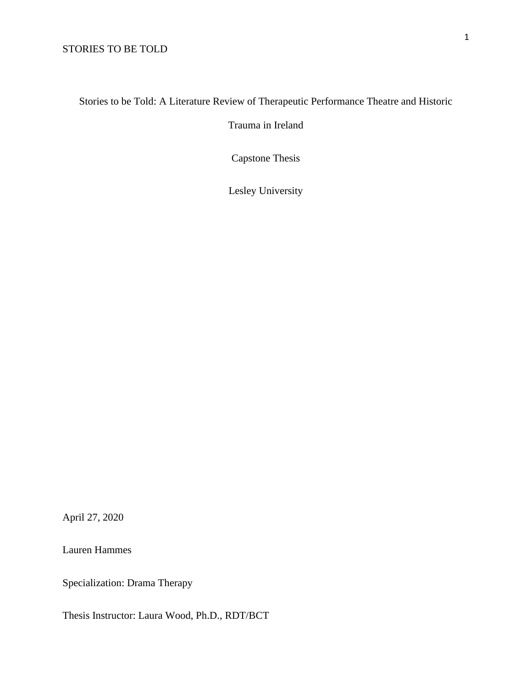## Stories to be Told: A Literature Review of Therapeutic Performance Theatre and Historic

Trauma in Ireland

Capstone Thesis

Lesley University

April 27, 2020

Lauren Hammes

Specialization: Drama Therapy

Thesis Instructor: Laura Wood, Ph.D., RDT/BCT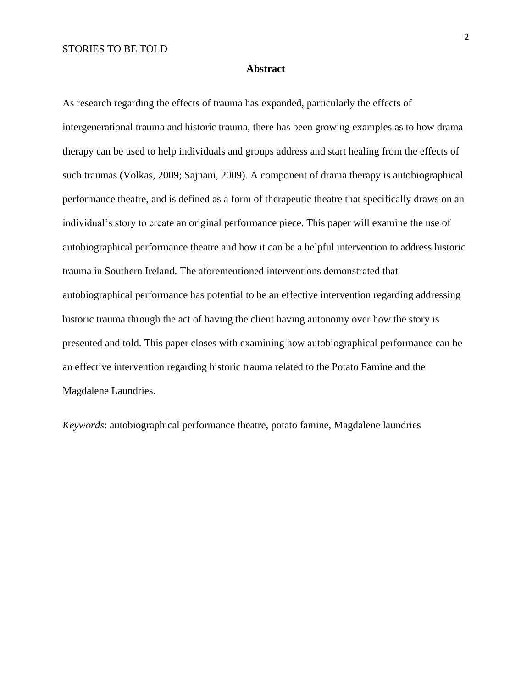#### **Abstract**

As research regarding the effects of trauma has expanded, particularly the effects of intergenerational trauma and historic trauma, there has been growing examples as to how drama therapy can be used to help individuals and groups address and start healing from the effects of such traumas (Volkas, 2009; Sajnani, 2009). A component of drama therapy is autobiographical performance theatre, and is defined as a form of therapeutic theatre that specifically draws on an individual's story to create an original performance piece. This paper will examine the use of autobiographical performance theatre and how it can be a helpful intervention to address historic trauma in Southern Ireland. The aforementioned interventions demonstrated that autobiographical performance has potential to be an effective intervention regarding addressing historic trauma through the act of having the client having autonomy over how the story is presented and told. This paper closes with examining how autobiographical performance can be an effective intervention regarding historic trauma related to the Potato Famine and the Magdalene Laundries.

*Keywords*: autobiographical performance theatre, potato famine, Magdalene laundries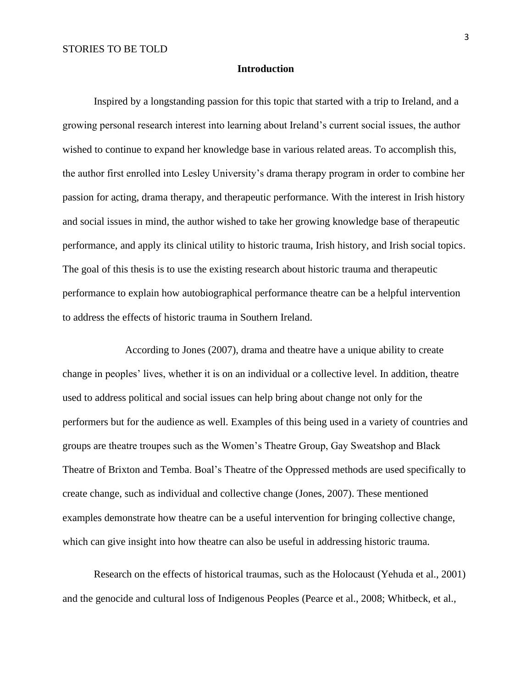#### **Introduction**

Inspired by a longstanding passion for this topic that started with a trip to Ireland, and a growing personal research interest into learning about Ireland's current social issues, the author wished to continue to expand her knowledge base in various related areas. To accomplish this, the author first enrolled into Lesley University's drama therapy program in order to combine her passion for acting, drama therapy, and therapeutic performance. With the interest in Irish history and social issues in mind, the author wished to take her growing knowledge base of therapeutic performance, and apply its clinical utility to historic trauma, Irish history, and Irish social topics. The goal of this thesis is to use the existing research about historic trauma and therapeutic performance to explain how autobiographical performance theatre can be a helpful intervention to address the effects of historic trauma in Southern Ireland.

According to Jones (2007), drama and theatre have a unique ability to create change in peoples' lives, whether it is on an individual or a collective level. In addition, theatre used to address political and social issues can help bring about change not only for the performers but for the audience as well. Examples of this being used in a variety of countries and groups are theatre troupes such as the Women's Theatre Group, Gay Sweatshop and Black Theatre of Brixton and Temba. Boal's Theatre of the Oppressed methods are used specifically to create change, such as individual and collective change (Jones, 2007). These mentioned examples demonstrate how theatre can be a useful intervention for bringing collective change, which can give insight into how theatre can also be useful in addressing historic trauma.

Research on the effects of historical traumas, such as the Holocaust (Yehuda et al., 2001) and the genocide and cultural loss of Indigenous Peoples (Pearce et al., 2008; Whitbeck, et al.,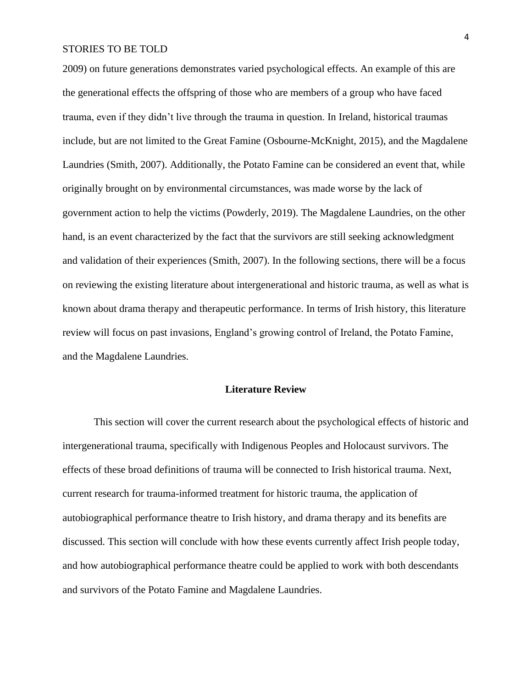2009) on future generations demonstrates varied psychological effects. An example of this are the generational effects the offspring of those who are members of a group who have faced trauma, even if they didn't live through the trauma in question. In Ireland, historical traumas include, but are not limited to the Great Famine (Osbourne-McKnight, 2015), and the Magdalene Laundries (Smith, 2007). Additionally, the Potato Famine can be considered an event that, while originally brought on by environmental circumstances, was made worse by the lack of government action to help the victims (Powderly, 2019). The Magdalene Laundries, on the other hand, is an event characterized by the fact that the survivors are still seeking acknowledgment and validation of their experiences (Smith, 2007). In the following sections, there will be a focus on reviewing the existing literature about intergenerational and historic trauma, as well as what is known about drama therapy and therapeutic performance. In terms of Irish history, this literature review will focus on past invasions, England's growing control of Ireland, the Potato Famine, and the Magdalene Laundries.

## **Literature Review**

This section will cover the current research about the psychological effects of historic and intergenerational trauma, specifically with Indigenous Peoples and Holocaust survivors. The effects of these broad definitions of trauma will be connected to Irish historical trauma. Next, current research for trauma-informed treatment for historic trauma, the application of autobiographical performance theatre to Irish history, and drama therapy and its benefits are discussed. This section will conclude with how these events currently affect Irish people today, and how autobiographical performance theatre could be applied to work with both descendants and survivors of the Potato Famine and Magdalene Laundries.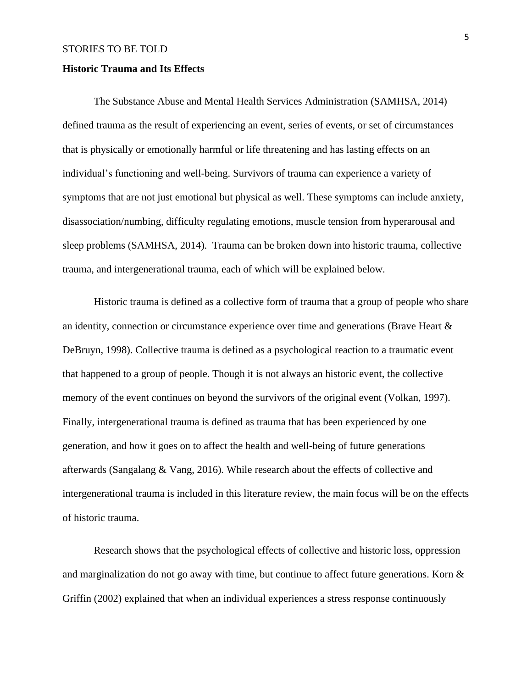#### **Historic Trauma and Its Effects**

The Substance Abuse and Mental Health Services Administration (SAMHSA, 2014) defined trauma as the result of experiencing an event, series of events, or set of circumstances that is physically or emotionally harmful or life threatening and has lasting effects on an individual's functioning and well-being. Survivors of trauma can experience a variety of symptoms that are not just emotional but physical as well. These symptoms can include anxiety, disassociation/numbing, difficulty regulating emotions, muscle tension from hyperarousal and sleep problems (SAMHSA, 2014). Trauma can be broken down into historic trauma, collective trauma, and intergenerational trauma, each of which will be explained below.

Historic trauma is defined as a collective form of trauma that a group of people who share an identity, connection or circumstance experience over time and generations (Brave Heart & DeBruyn, 1998). Collective trauma is defined as a psychological reaction to a traumatic event that happened to a group of people. Though it is not always an historic event, the collective memory of the event continues on beyond the survivors of the original event (Volkan, 1997). Finally, intergenerational trauma is defined as trauma that has been experienced by one generation, and how it goes on to affect the health and well-being of future generations afterwards (Sangalang & Vang, 2016)*.* While research about the effects of collective and intergenerational trauma is included in this literature review, the main focus will be on the effects of historic trauma.

Research shows that the psychological effects of collective and historic loss, oppression and marginalization do not go away with time, but continue to affect future generations. Korn & Griffin (2002) explained that when an individual experiences a stress response continuously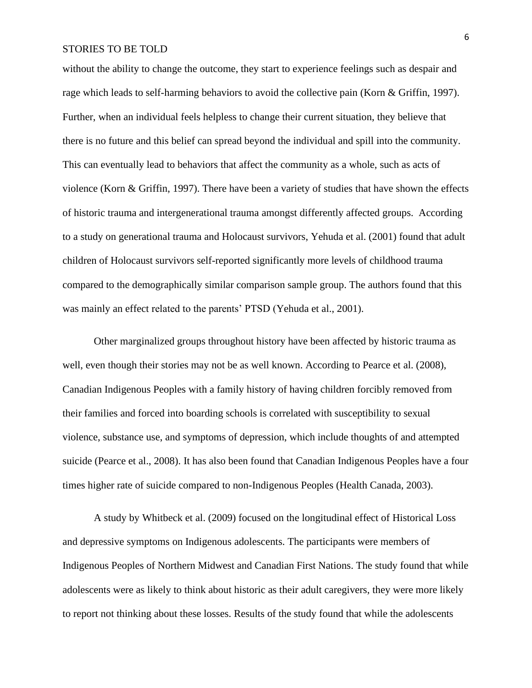without the ability to change the outcome, they start to experience feelings such as despair and rage which leads to self-harming behaviors to avoid the collective pain (Korn & Griffin, 1997). Further, when an individual feels helpless to change their current situation, they believe that there is no future and this belief can spread beyond the individual and spill into the community. This can eventually lead to behaviors that affect the community as a whole, such as acts of violence (Korn & Griffin, 1997). There have been a variety of studies that have shown the effects of historic trauma and intergenerational trauma amongst differently affected groups. According to a study on generational trauma and Holocaust survivors, Yehuda et al. (2001) found that adult children of Holocaust survivors self-reported significantly more levels of childhood trauma compared to the demographically similar comparison sample group. The authors found that this was mainly an effect related to the parents' PTSD (Yehuda et al., 2001).

Other marginalized groups throughout history have been affected by historic trauma as well, even though their stories may not be as well known. According to Pearce et al. (2008), Canadian Indigenous Peoples with a family history of having children forcibly removed from their families and forced into boarding schools is correlated with susceptibility to sexual violence, substance use, and symptoms of depression, which include thoughts of and attempted suicide (Pearce et al., 2008). It has also been found that Canadian Indigenous Peoples have a four times higher rate of suicide compared to non-Indigenous Peoples (Health Canada, 2003).

A study by Whitbeck et al. (2009) focused on the longitudinal effect of Historical Loss and depressive symptoms on Indigenous adolescents. The participants were members of Indigenous Peoples of Northern Midwest and Canadian First Nations. The study found that while adolescents were as likely to think about historic as their adult caregivers, they were more likely to report not thinking about these losses. Results of the study found that while the adolescents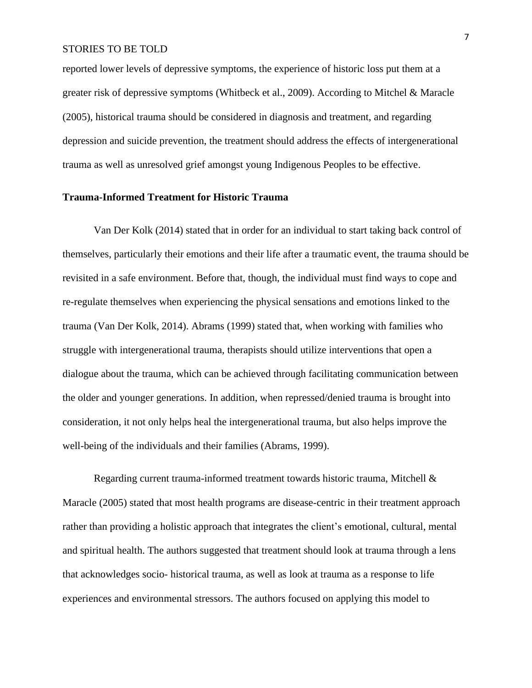reported lower levels of depressive symptoms, the experience of historic loss put them at a greater risk of depressive symptoms (Whitbeck et al., 2009). According to Mitchel & Maracle (2005), historical trauma should be considered in diagnosis and treatment, and regarding depression and suicide prevention, the treatment should address the effects of intergenerational trauma as well as unresolved grief amongst young Indigenous Peoples to be effective.

## **Trauma-Informed Treatment for Historic Trauma**

Van Der Kolk (2014) stated that in order for an individual to start taking back control of themselves, particularly their emotions and their life after a traumatic event, the trauma should be revisited in a safe environment. Before that, though, the individual must find ways to cope and re-regulate themselves when experiencing the physical sensations and emotions linked to the trauma (Van Der Kolk, 2014). Abrams (1999) stated that, when working with families who struggle with intergenerational trauma, therapists should utilize interventions that open a dialogue about the trauma, which can be achieved through facilitating communication between the older and younger generations. In addition, when repressed/denied trauma is brought into consideration, it not only helps heal the intergenerational trauma, but also helps improve the well-being of the individuals and their families (Abrams, 1999).

Regarding current trauma-informed treatment towards historic trauma, Mitchell & Maracle (2005) stated that most health programs are disease-centric in their treatment approach rather than providing a holistic approach that integrates the client's emotional, cultural, mental and spiritual health. The authors suggested that treatment should look at trauma through a lens that acknowledges socio- historical trauma, as well as look at trauma as a response to life experiences and environmental stressors. The authors focused on applying this model to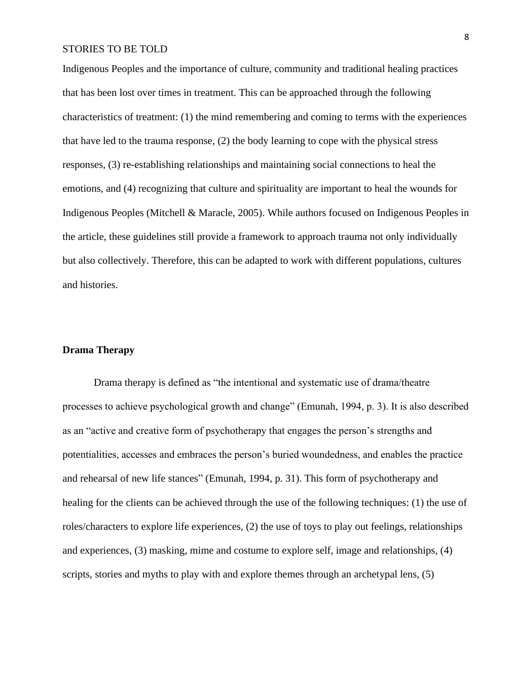Indigenous Peoples and the importance of culture, community and traditional healing practices that has been lost over times in treatment. This can be approached through the following characteristics of treatment: (1) the mind remembering and coming to terms with the experiences that have led to the trauma response, (2) the body learning to cope with the physical stress responses, (3) re-establishing relationships and maintaining social connections to heal the emotions, and (4) recognizing that culture and spirituality are important to heal the wounds for Indigenous Peoples (Mitchell & Maracle, 2005). While authors focused on Indigenous Peoples in the article, these guidelines still provide a framework to approach trauma not only individually but also collectively. Therefore, this can be adapted to work with different populations, cultures and histories.

#### **Drama Therapy**

Drama therapy is defined as "the intentional and systematic use of drama/theatre processes to achieve psychological growth and change" (Emunah, 1994, p. 3). It is also described as an "active and creative form of psychotherapy that engages the person's strengths and potentialities, accesses and embraces the person's buried woundedness, and enables the practice and rehearsal of new life stances" (Emunah, 1994, p. 31). This form of psychotherapy and healing for the clients can be achieved through the use of the following techniques: (1) the use of roles/characters to explore life experiences, (2) the use of toys to play out feelings, relationships and experiences, (3) masking, mime and costume to explore self, image and relationships, (4) scripts, stories and myths to play with and explore themes through an archetypal lens, (5)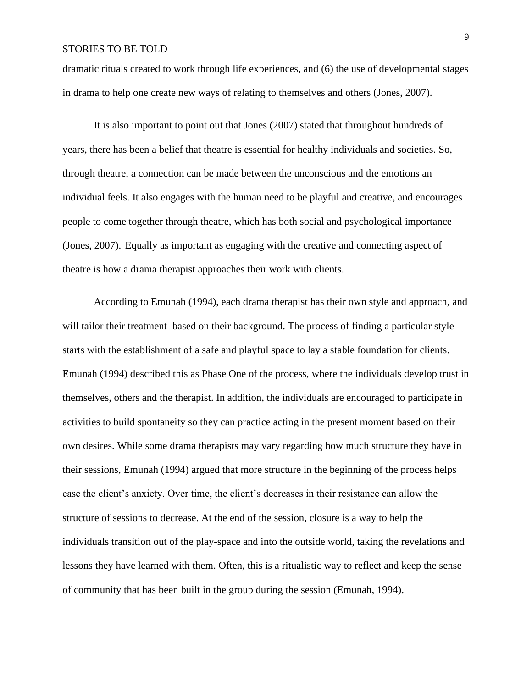dramatic rituals created to work through life experiences, and (6) the use of developmental stages in drama to help one create new ways of relating to themselves and others (Jones, 2007).

It is also important to point out that Jones (2007) stated that throughout hundreds of years, there has been a belief that theatre is essential for healthy individuals and societies. So, through theatre, a connection can be made between the unconscious and the emotions an individual feels. It also engages with the human need to be playful and creative, and encourages people to come together through theatre, which has both social and psychological importance (Jones, 2007). Equally as important as engaging with the creative and connecting aspect of theatre is how a drama therapist approaches their work with clients.

According to Emunah (1994), each drama therapist has their own style and approach, and will tailor their treatment based on their background. The process of finding a particular style starts with the establishment of a safe and playful space to lay a stable foundation for clients. Emunah (1994) described this as Phase One of the process, where the individuals develop trust in themselves, others and the therapist. In addition, the individuals are encouraged to participate in activities to build spontaneity so they can practice acting in the present moment based on their own desires. While some drama therapists may vary regarding how much structure they have in their sessions, Emunah (1994) argued that more structure in the beginning of the process helps ease the client's anxiety. Over time, the client's decreases in their resistance can allow the structure of sessions to decrease. At the end of the session, closure is a way to help the individuals transition out of the play-space and into the outside world, taking the revelations and lessons they have learned with them. Often, this is a ritualistic way to reflect and keep the sense of community that has been built in the group during the session (Emunah, 1994).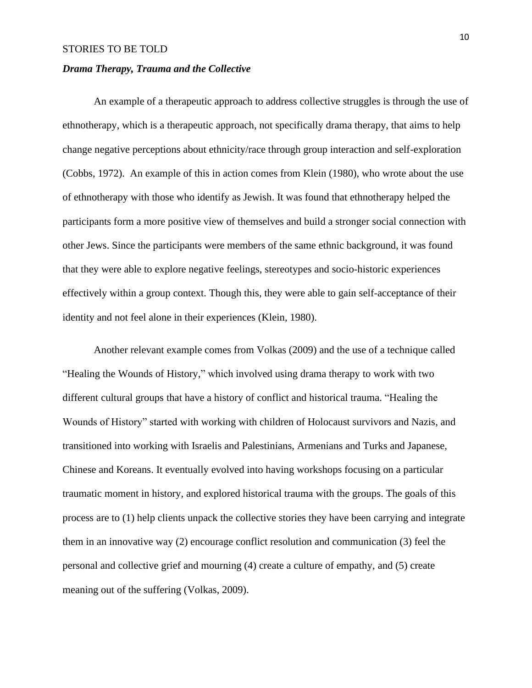## *Drama Therapy, Trauma and the Collective*

An example of a therapeutic approach to address collective struggles is through the use of ethnotherapy, which is a therapeutic approach, not specifically drama therapy, that aims to help change negative perceptions about ethnicity/race through group interaction and self-exploration (Cobbs, 1972). An example of this in action comes from Klein (1980), who wrote about the use of ethnotherapy with those who identify as Jewish. It was found that ethnotherapy helped the participants form a more positive view of themselves and build a stronger social connection with other Jews. Since the participants were members of the same ethnic background, it was found that they were able to explore negative feelings, stereotypes and socio-historic experiences effectively within a group context. Though this, they were able to gain self-acceptance of their identity and not feel alone in their experiences (Klein, 1980).

Another relevant example comes from Volkas (2009) and the use of a technique called "Healing the Wounds of History," which involved using drama therapy to work with two different cultural groups that have a history of conflict and historical trauma. "Healing the Wounds of History" started with working with children of Holocaust survivors and Nazis, and transitioned into working with Israelis and Palestinians, Armenians and Turks and Japanese, Chinese and Koreans. It eventually evolved into having workshops focusing on a particular traumatic moment in history, and explored historical trauma with the groups. The goals of this process are to (1) help clients unpack the collective stories they have been carrying and integrate them in an innovative way (2) encourage conflict resolution and communication (3) feel the personal and collective grief and mourning (4) create a culture of empathy, and (5) create meaning out of the suffering (Volkas, 2009).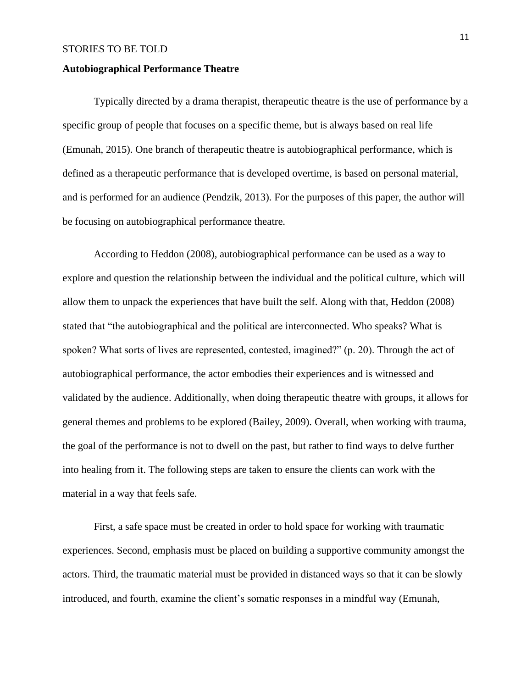#### **Autobiographical Performance Theatre**

Typically directed by a drama therapist, therapeutic theatre is the use of performance by a specific group of people that focuses on a specific theme, but is always based on real life (Emunah, 2015). One branch of therapeutic theatre is autobiographical performance, which is defined as a therapeutic performance that is developed overtime, is based on personal material, and is performed for an audience (Pendzik, 2013). For the purposes of this paper, the author will be focusing on autobiographical performance theatre.

According to Heddon (2008), autobiographical performance can be used as a way to explore and question the relationship between the individual and the political culture, which will allow them to unpack the experiences that have built the self. Along with that, Heddon (2008) stated that "the autobiographical and the political are interconnected. Who speaks? What is spoken? What sorts of lives are represented, contested, imagined?" (p. 20). Through the act of autobiographical performance, the actor embodies their experiences and is witnessed and validated by the audience. Additionally, when doing therapeutic theatre with groups, it allows for general themes and problems to be explored (Bailey, 2009). Overall, when working with trauma, the goal of the performance is not to dwell on the past, but rather to find ways to delve further into healing from it. The following steps are taken to ensure the clients can work with the material in a way that feels safe.

First, a safe space must be created in order to hold space for working with traumatic experiences. Second, emphasis must be placed on building a supportive community amongst the actors. Third, the traumatic material must be provided in distanced ways so that it can be slowly introduced, and fourth, examine the client's somatic responses in a mindful way (Emunah,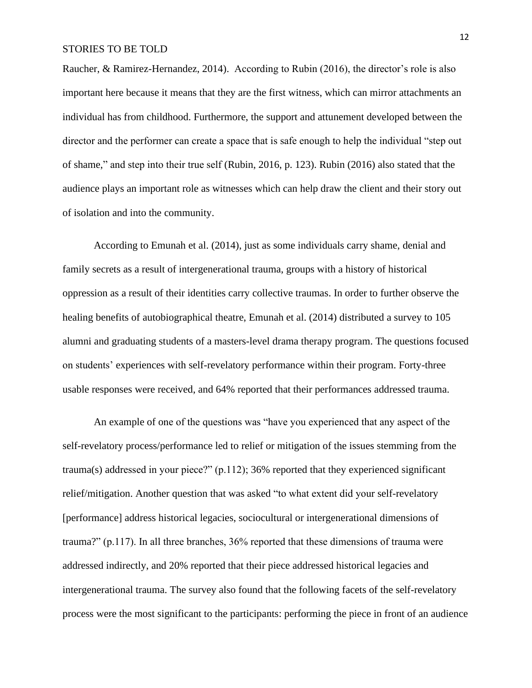Raucher, & Ramirez-Hernandez, 2014). According to Rubin (2016), the director's role is also important here because it means that they are the first witness, which can mirror attachments an individual has from childhood. Furthermore, the support and attunement developed between the director and the performer can create a space that is safe enough to help the individual "step out of shame," and step into their true self (Rubin, 2016, p. 123). Rubin (2016) also stated that the audience plays an important role as witnesses which can help draw the client and their story out of isolation and into the community.

According to Emunah et al. (2014), just as some individuals carry shame, denial and family secrets as a result of intergenerational trauma, groups with a history of historical oppression as a result of their identities carry collective traumas. In order to further observe the healing benefits of autobiographical theatre, Emunah et al. (2014) distributed a survey to 105 alumni and graduating students of a masters-level drama therapy program. The questions focused on students' experiences with self-revelatory performance within their program. Forty-three usable responses were received, and 64% reported that their performances addressed trauma.

An example of one of the questions was "have you experienced that any aspect of the self-revelatory process/performance led to relief or mitigation of the issues stemming from the trauma(s) addressed in your piece?" (p.112); 36% reported that they experienced significant relief/mitigation. Another question that was asked "to what extent did your self-revelatory [performance] address historical legacies, sociocultural or intergenerational dimensions of trauma?" (p.117). In all three branches, 36% reported that these dimensions of trauma were addressed indirectly, and 20% reported that their piece addressed historical legacies and intergenerational trauma. The survey also found that the following facets of the self-revelatory process were the most significant to the participants: performing the piece in front of an audience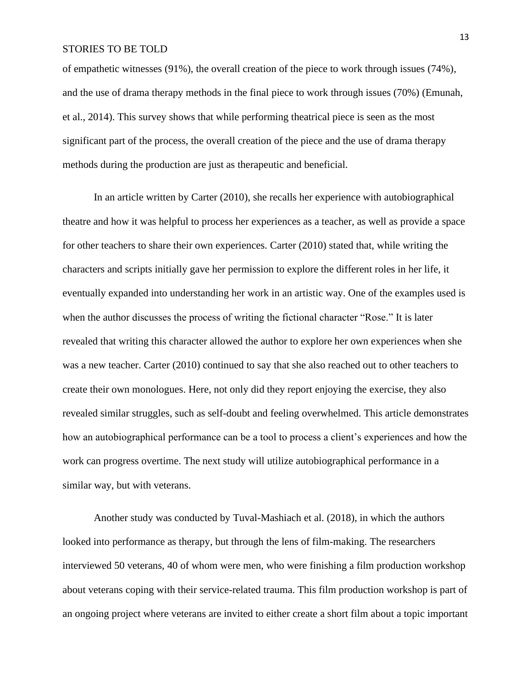of empathetic witnesses (91%), the overall creation of the piece to work through issues (74%), and the use of drama therapy methods in the final piece to work through issues (70%) (Emunah, et al., 2014). This survey shows that while performing theatrical piece is seen as the most significant part of the process, the overall creation of the piece and the use of drama therapy methods during the production are just as therapeutic and beneficial.

In an article written by Carter (2010), she recalls her experience with autobiographical theatre and how it was helpful to process her experiences as a teacher, as well as provide a space for other teachers to share their own experiences. Carter (2010) stated that, while writing the characters and scripts initially gave her permission to explore the different roles in her life, it eventually expanded into understanding her work in an artistic way. One of the examples used is when the author discusses the process of writing the fictional character "Rose." It is later revealed that writing this character allowed the author to explore her own experiences when she was a new teacher. Carter (2010) continued to say that she also reached out to other teachers to create their own monologues. Here, not only did they report enjoying the exercise, they also revealed similar struggles, such as self-doubt and feeling overwhelmed. This article demonstrates how an autobiographical performance can be a tool to process a client's experiences and how the work can progress overtime. The next study will utilize autobiographical performance in a similar way, but with veterans.

Another study was conducted by Tuval-Mashiach et al. (2018), in which the authors looked into performance as therapy, but through the lens of film-making. The researchers interviewed 50 veterans, 40 of whom were men, who were finishing a film production workshop about veterans coping with their service-related trauma. This film production workshop is part of an ongoing project where veterans are invited to either create a short film about a topic important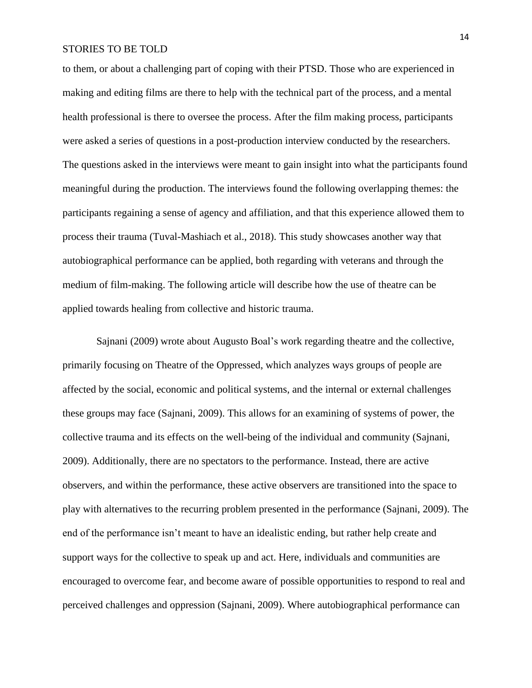to them, or about a challenging part of coping with their PTSD. Those who are experienced in making and editing films are there to help with the technical part of the process, and a mental health professional is there to oversee the process. After the film making process, participants were asked a series of questions in a post-production interview conducted by the researchers. The questions asked in the interviews were meant to gain insight into what the participants found meaningful during the production. The interviews found the following overlapping themes: the participants regaining a sense of agency and affiliation, and that this experience allowed them to process their trauma (Tuval-Mashiach et al., 2018). This study showcases another way that autobiographical performance can be applied, both regarding with veterans and through the medium of film-making. The following article will describe how the use of theatre can be applied towards healing from collective and historic trauma.

Sajnani (2009) wrote about Augusto Boal's work regarding theatre and the collective, primarily focusing on Theatre of the Oppressed, which analyzes ways groups of people are affected by the social, economic and political systems, and the internal or external challenges these groups may face (Sajnani, 2009). This allows for an examining of systems of power, the collective trauma and its effects on the well-being of the individual and community (Sajnani, 2009). Additionally, there are no spectators to the performance. Instead, there are active observers, and within the performance, these active observers are transitioned into the space to play with alternatives to the recurring problem presented in the performance (Sajnani, 2009). The end of the performance isn't meant to have an idealistic ending, but rather help create and support ways for the collective to speak up and act. Here, individuals and communities are encouraged to overcome fear, and become aware of possible opportunities to respond to real and perceived challenges and oppression (Sajnani, 2009). Where autobiographical performance can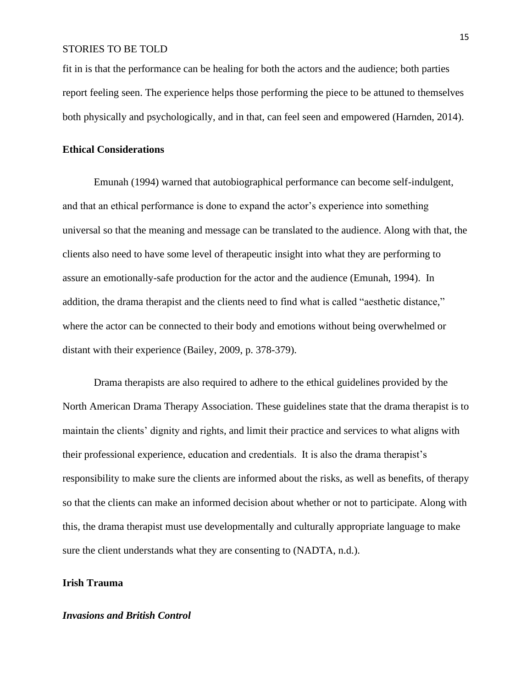fit in is that the performance can be healing for both the actors and the audience; both parties report feeling seen. The experience helps those performing the piece to be attuned to themselves both physically and psychologically, and in that, can feel seen and empowered (Harnden, 2014).

## **Ethical Considerations**

Emunah (1994) warned that autobiographical performance can become self-indulgent, and that an ethical performance is done to expand the actor's experience into something universal so that the meaning and message can be translated to the audience. Along with that, the clients also need to have some level of therapeutic insight into what they are performing to assure an emotionally-safe production for the actor and the audience (Emunah, 1994). In addition, the drama therapist and the clients need to find what is called "aesthetic distance," where the actor can be connected to their body and emotions without being overwhelmed or distant with their experience (Bailey, 2009, p. 378-379).

Drama therapists are also required to adhere to the ethical guidelines provided by the North American Drama Therapy Association. These guidelines state that the drama therapist is to maintain the clients' dignity and rights, and limit their practice and services to what aligns with their professional experience, education and credentials. It is also the drama therapist's responsibility to make sure the clients are informed about the risks, as well as benefits, of therapy so that the clients can make an informed decision about whether or not to participate. Along with this, the drama therapist must use developmentally and culturally appropriate language to make sure the client understands what they are consenting to (NADTA, n.d.).

## **Irish Trauma**

#### *Invasions and British Control*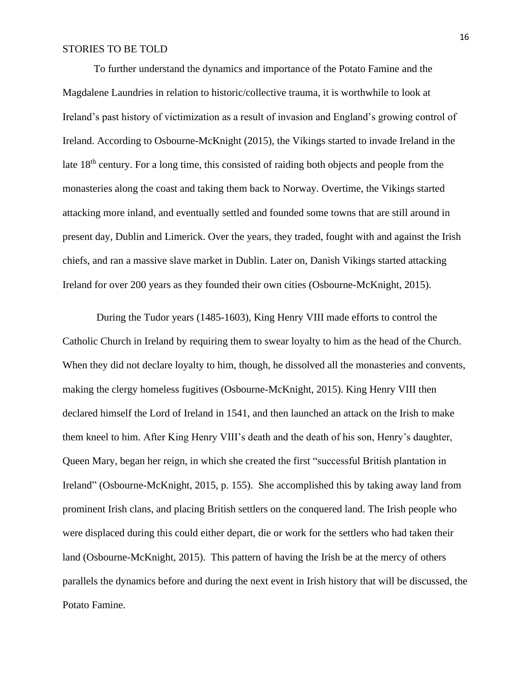To further understand the dynamics and importance of the Potato Famine and the Magdalene Laundries in relation to historic/collective trauma, it is worthwhile to look at Ireland's past history of victimization as a result of invasion and England's growing control of Ireland. According to Osbourne-McKnight (2015), the Vikings started to invade Ireland in the late 18<sup>th</sup> century. For a long time, this consisted of raiding both objects and people from the monasteries along the coast and taking them back to Norway. Overtime, the Vikings started attacking more inland, and eventually settled and founded some towns that are still around in present day, Dublin and Limerick. Over the years, they traded, fought with and against the Irish chiefs, and ran a massive slave market in Dublin. Later on, Danish Vikings started attacking Ireland for over 200 years as they founded their own cities (Osbourne-McKnight, 2015).

During the Tudor years (1485-1603), King Henry VIII made efforts to control the Catholic Church in Ireland by requiring them to swear loyalty to him as the head of the Church. When they did not declare loyalty to him, though, he dissolved all the monasteries and convents, making the clergy homeless fugitives (Osbourne-McKnight, 2015). King Henry VIII then declared himself the Lord of Ireland in 1541, and then launched an attack on the Irish to make them kneel to him. After King Henry VIII's death and the death of his son, Henry's daughter, Queen Mary, began her reign, in which she created the first "successful British plantation in Ireland" (Osbourne-McKnight, 2015, p. 155). She accomplished this by taking away land from prominent Irish clans, and placing British settlers on the conquered land. The Irish people who were displaced during this could either depart, die or work for the settlers who had taken their land (Osbourne-McKnight, 2015). This pattern of having the Irish be at the mercy of others parallels the dynamics before and during the next event in Irish history that will be discussed, the Potato Famine.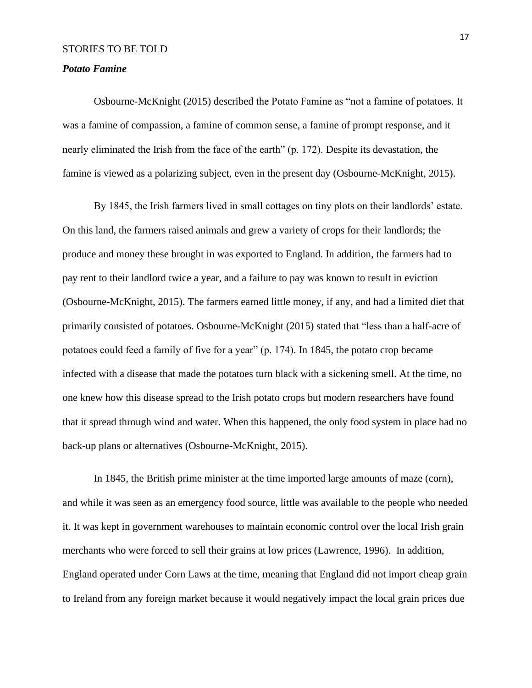## *Potato Famine*

Osbourne-McKnight (2015) described the Potato Famine as "not a famine of potatoes. It was a famine of compassion, a famine of common sense, a famine of prompt response, and it nearly eliminated the Irish from the face of the earth" (p. 172). Despite its devastation, the famine is viewed as a polarizing subject, even in the present day (Osbourne-McKnight, 2015).

By 1845, the Irish farmers lived in small cottages on tiny plots on their landlords' estate. On this land, the farmers raised animals and grew a variety of crops for their landlords; the produce and money these brought in was exported to England. In addition, the farmers had to pay rent to their landlord twice a year, and a failure to pay was known to result in eviction (Osbourne-McKnight, 2015). The farmers earned little money, if any, and had a limited diet that primarily consisted of potatoes. Osbourne-McKnight (2015) stated that "less than a half-acre of potatoes could feed a family of five for a year" (p. 174). In 1845, the potato crop became infected with a disease that made the potatoes turn black with a sickening smell. At the time, no one knew how this disease spread to the Irish potato crops but modern researchers have found that it spread through wind and water. When this happened, the only food system in place had no back-up plans or alternatives (Osbourne-McKnight, 2015).

In 1845, the British prime minister at the time imported large amounts of maze (corn), and while it was seen as an emergency food source, little was available to the people who needed it. It was kept in government warehouses to maintain economic control over the local Irish grain merchants who were forced to sell their grains at low prices (Lawrence, 1996). In addition, England operated under Corn Laws at the time, meaning that England did not import cheap grain to Ireland from any foreign market because it would negatively impact the local grain prices due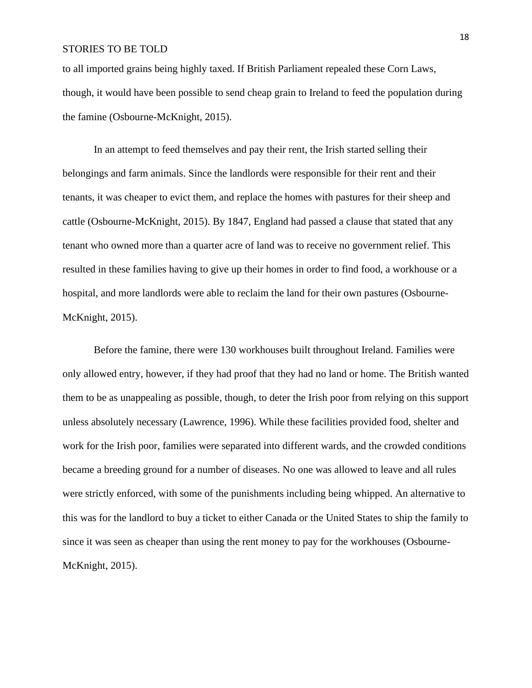to all imported grains being highly taxed. If British Parliament repealed these Corn Laws, though, it would have been possible to send cheap grain to Ireland to feed the population during the famine (Osbourne-McKnight, 2015).

In an attempt to feed themselves and pay their rent, the Irish started selling their belongings and farm animals. Since the landlords were responsible for their rent and their tenants, it was cheaper to evict them, and replace the homes with pastures for their sheep and cattle (Osbourne-McKnight, 2015). By 1847, England had passed a clause that stated that any tenant who owned more than a quarter acre of land was to receive no government relief. This resulted in these families having to give up their homes in order to find food, a workhouse or a hospital, and more landlords were able to reclaim the land for their own pastures (Osbourne-McKnight, 2015).

Before the famine, there were 130 workhouses built throughout Ireland. Families were only allowed entry, however, if they had proof that they had no land or home. The British wanted them to be as unappealing as possible, though, to deter the Irish poor from relying on this support unless absolutely necessary (Lawrence, 1996). While these facilities provided food, shelter and work for the Irish poor, families were separated into different wards, and the crowded conditions became a breeding ground for a number of diseases. No one was allowed to leave and all rules were strictly enforced, with some of the punishments including being whipped. An alternative to this was for the landlord to buy a ticket to either Canada or the United States to ship the family to since it was seen as cheaper than using the rent money to pay for the workhouses (Osbourne-McKnight, 2015).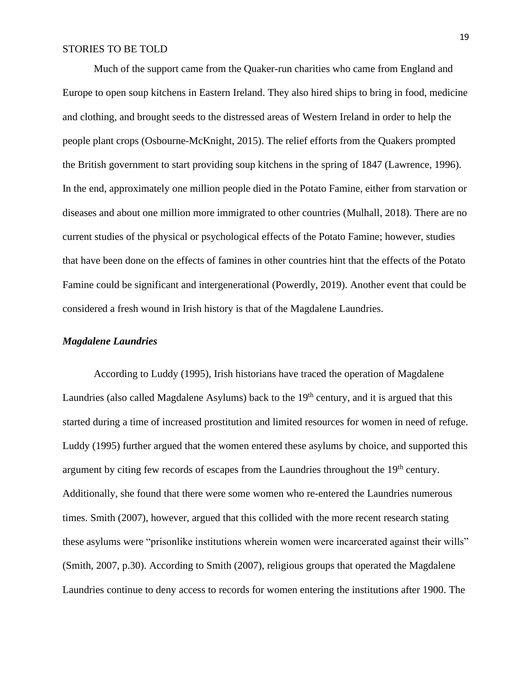Much of the support came from the Quaker-run charities who came from England and Europe to open soup kitchens in Eastern Ireland. They also hired ships to bring in food, medicine and clothing, and brought seeds to the distressed areas of Western Ireland in order to help the people plant crops (Osbourne-McKnight, 2015). The relief efforts from the Quakers prompted the British government to start providing soup kitchens in the spring of 1847 (Lawrence, 1996). In the end, approximately one million people died in the Potato Famine, either from starvation or diseases and about one million more immigrated to other countries (Mulhall, 2018). There are no current studies of the physical or psychological effects of the Potato Famine; however, studies that have been done on the effects of famines in other countries hint that the effects of the Potato Famine could be significant and intergenerational (Powerdly, 2019). Another event that could be considered a fresh wound in Irish history is that of the Magdalene Laundries.

## *Magdalene Laundries*

According to Luddy (1995), Irish historians have traced the operation of Magdalene Laundries (also called Magdalene Asylums) back to the  $19<sup>th</sup>$  century, and it is argued that this started during a time of increased prostitution and limited resources for women in need of refuge. Luddy (1995) further argued that the women entered these asylums by choice, and supported this argument by citing few records of escapes from the Laundries throughout the 19<sup>th</sup> century. Additionally, she found that there were some women who re-entered the Laundries numerous times. Smith (2007), however, argued that this collided with the more recent research stating these asylums were "prisonlike institutions wherein women were incarcerated against their wills" (Smith, 2007, p.30). According to Smith (2007), religious groups that operated the Magdalene Laundries continue to deny access to records for women entering the institutions after 1900. The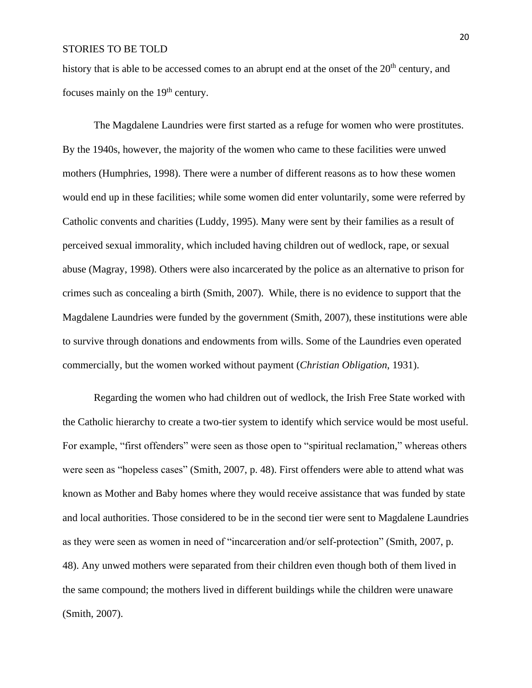history that is able to be accessed comes to an abrupt end at the onset of the  $20<sup>th</sup>$  century, and focuses mainly on the 19<sup>th</sup> century.

The Magdalene Laundries were first started as a refuge for women who were prostitutes. By the 1940s, however, the majority of the women who came to these facilities were unwed mothers (Humphries, 1998). There were a number of different reasons as to how these women would end up in these facilities; while some women did enter voluntarily, some were referred by Catholic convents and charities (Luddy, 1995). Many were sent by their families as a result of perceived sexual immorality, which included having children out of wedlock, rape, or sexual abuse (Magray, 1998). Others were also incarcerated by the police as an alternative to prison for crimes such as concealing a birth (Smith, 2007). While, there is no evidence to support that the Magdalene Laundries were funded by the government (Smith, 2007), these institutions were able to survive through donations and endowments from wills. Some of the Laundries even operated commercially, but the women worked without payment (*Christian Obligation*, 1931).

Regarding the women who had children out of wedlock, the Irish Free State worked with the Catholic hierarchy to create a two-tier system to identify which service would be most useful. For example, "first offenders" were seen as those open to "spiritual reclamation," whereas others were seen as "hopeless cases" (Smith, 2007, p. 48). First offenders were able to attend what was known as Mother and Baby homes where they would receive assistance that was funded by state and local authorities. Those considered to be in the second tier were sent to Magdalene Laundries as they were seen as women in need of "incarceration and/or self-protection" (Smith, 2007, p. 48). Any unwed mothers were separated from their children even though both of them lived in the same compound; the mothers lived in different buildings while the children were unaware (Smith, 2007).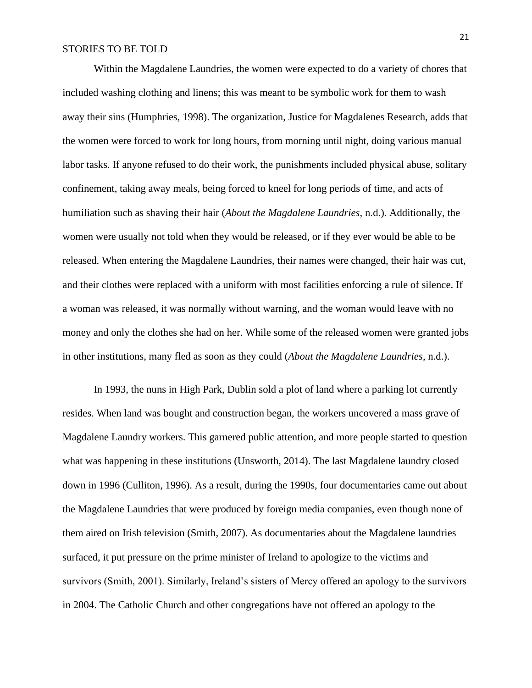Within the Magdalene Laundries, the women were expected to do a variety of chores that included washing clothing and linens; this was meant to be symbolic work for them to wash away their sins (Humphries, 1998). The organization, Justice for Magdalenes Research, adds that the women were forced to work for long hours, from morning until night, doing various manual labor tasks. If anyone refused to do their work, the punishments included physical abuse, solitary confinement, taking away meals, being forced to kneel for long periods of time, and acts of humiliation such as shaving their hair (*About the Magdalene Laundries*, n.d.). Additionally, the women were usually not told when they would be released, or if they ever would be able to be released. When entering the Magdalene Laundries, their names were changed, their hair was cut, and their clothes were replaced with a uniform with most facilities enforcing a rule of silence. If a woman was released, it was normally without warning, and the woman would leave with no money and only the clothes she had on her. While some of the released women were granted jobs in other institutions, many fled as soon as they could (*About the Magdalene Laundries*, n.d.).

In 1993, the nuns in High Park, Dublin sold a plot of land where a parking lot currently resides. When land was bought and construction began, the workers uncovered a mass grave of Magdalene Laundry workers. This garnered public attention, and more people started to question what was happening in these institutions (Unsworth, 2014). The last Magdalene laundry closed down in 1996 (Culliton, 1996). As a result, during the 1990s, four documentaries came out about the Magdalene Laundries that were produced by foreign media companies, even though none of them aired on Irish television (Smith, 2007). As documentaries about the Magdalene laundries surfaced, it put pressure on the prime minister of Ireland to apologize to the victims and survivors (Smith, 2001). Similarly, Ireland's sisters of Mercy offered an apology to the survivors in 2004. The Catholic Church and other congregations have not offered an apology to the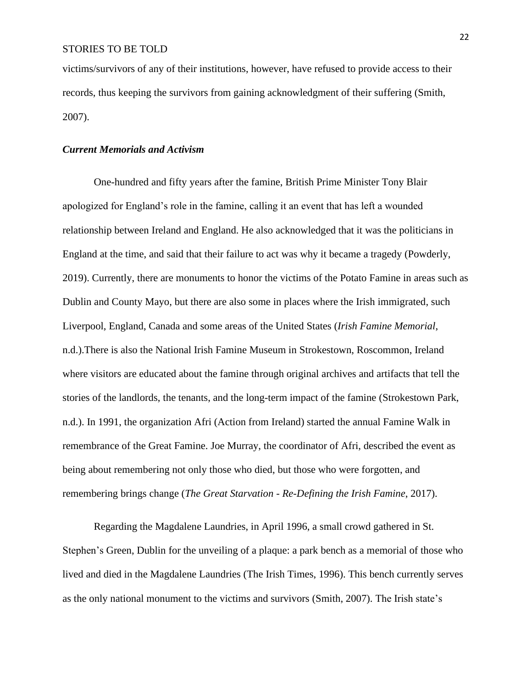victims/survivors of any of their institutions, however, have refused to provide access to their records, thus keeping the survivors from gaining acknowledgment of their suffering (Smith, 2007).

## *Current Memorials and Activism*

One-hundred and fifty years after the famine, British Prime Minister Tony Blair apologized for England's role in the famine, calling it an event that has left a wounded relationship between Ireland and England. He also acknowledged that it was the politicians in England at the time, and said that their failure to act was why it became a tragedy (Powderly, 2019). Currently, there are monuments to honor the victims of the Potato Famine in areas such as Dublin and County Mayo, but there are also some in places where the Irish immigrated, such Liverpool, England, Canada and some areas of the United States (*Irish Famine Memorial*, n.d.).There is also the National Irish Famine Museum in Strokestown, Roscommon, Ireland where visitors are educated about the famine through original archives and artifacts that tell the stories of the landlords, the tenants, and the long-term impact of the famine (Strokestown Park, n.d.). In 1991, the organization Afri (Action from Ireland) started the annual Famine Walk in remembrance of the Great Famine. Joe Murray, the coordinator of Afri, described the event as being about remembering not only those who died, but those who were forgotten, and remembering brings change (*The Great Starvation - Re-Defining the Irish Famine*, 2017).

Regarding the Magdalene Laundries, in April 1996, a small crowd gathered in St. Stephen's Green, Dublin for the unveiling of a plaque: a park bench as a memorial of those who lived and died in the Magdalene Laundries (The Irish Times, 1996). This bench currently serves as the only national monument to the victims and survivors (Smith, 2007). The Irish state's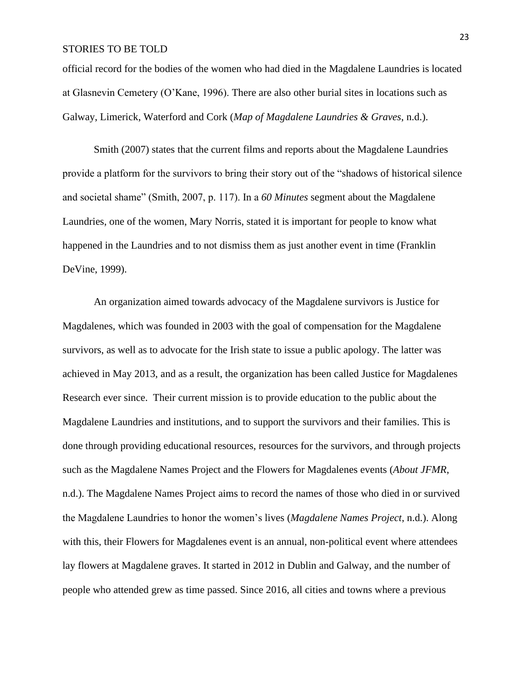official record for the bodies of the women who had died in the Magdalene Laundries is located at Glasnevin Cemetery (O'Kane, 1996). There are also other burial sites in locations such as Galway, Limerick, Waterford and Cork (*Map of Magdalene Laundries & Graves*, n.d.).

Smith (2007) states that the current films and reports about the Magdalene Laundries provide a platform for the survivors to bring their story out of the "shadows of historical silence and societal shame" (Smith, 2007, p. 117). In a *60 Minutes* segment about the Magdalene Laundries, one of the women, Mary Norris, stated it is important for people to know what happened in the Laundries and to not dismiss them as just another event in time (Franklin DeVine, 1999).

An organization aimed towards advocacy of the Magdalene survivors is Justice for Magdalenes, which was founded in 2003 with the goal of compensation for the Magdalene survivors, as well as to advocate for the Irish state to issue a public apology. The latter was achieved in May 2013, and as a result, the organization has been called Justice for Magdalenes Research ever since. Their current mission is to provide education to the public about the Magdalene Laundries and institutions, and to support the survivors and their families. This is done through providing educational resources, resources for the survivors, and through projects such as the Magdalene Names Project and the Flowers for Magdalenes events (*About JFMR*, n.d.). The Magdalene Names Project aims to record the names of those who died in or survived the Magdalene Laundries to honor the women's lives (*Magdalene Names Project*, n.d.). Along with this, their Flowers for Magdalenes event is an annual, non-political event where attendees lay flowers at Magdalene graves. It started in 2012 in Dublin and Galway, and the number of people who attended grew as time passed. Since 2016, all cities and towns where a previous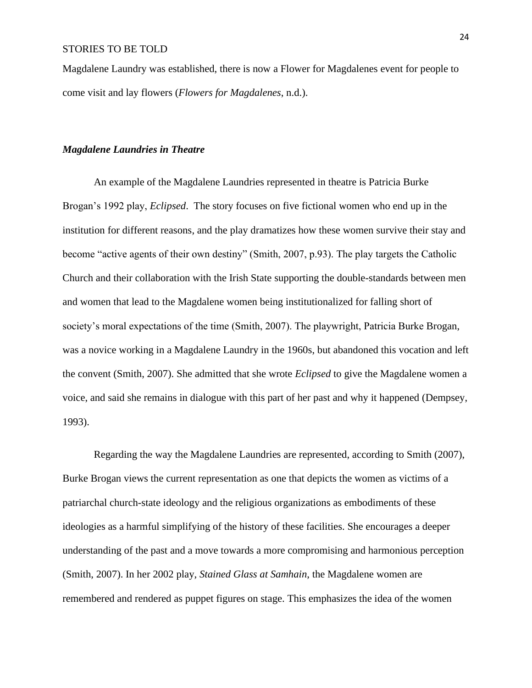Magdalene Laundry was established, there is now a Flower for Magdalenes event for people to come visit and lay flowers (*Flowers for Magdalenes*, n.d.).

## *Magdalene Laundries in Theatre*

An example of the Magdalene Laundries represented in theatre is Patricia Burke Brogan's 1992 play, *Eclipsed*. The story focuses on five fictional women who end up in the institution for different reasons, and the play dramatizes how these women survive their stay and become "active agents of their own destiny" (Smith, 2007, p.93). The play targets the Catholic Church and their collaboration with the Irish State supporting the double-standards between men and women that lead to the Magdalene women being institutionalized for falling short of society's moral expectations of the time (Smith, 2007). The playwright, Patricia Burke Brogan, was a novice working in a Magdalene Laundry in the 1960s, but abandoned this vocation and left the convent (Smith, 2007). She admitted that she wrote *Eclipsed* to give the Magdalene women a voice, and said she remains in dialogue with this part of her past and why it happened (Dempsey, 1993).

Regarding the way the Magdalene Laundries are represented, according to Smith (2007), Burke Brogan views the current representation as one that depicts the women as victims of a patriarchal church-state ideology and the religious organizations as embodiments of these ideologies as a harmful simplifying of the history of these facilities. She encourages a deeper understanding of the past and a move towards a more compromising and harmonious perception (Smith, 2007). In her 2002 play, *Stained Glass at Samhain*, the Magdalene women are remembered and rendered as puppet figures on stage. This emphasizes the idea of the women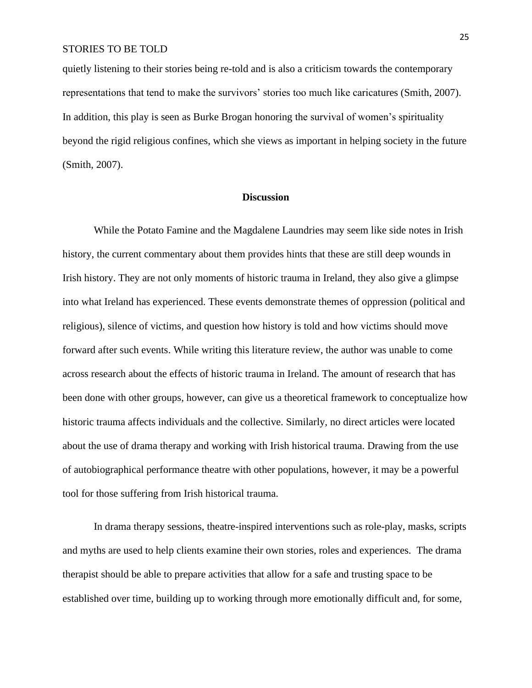quietly listening to their stories being re-told and is also a criticism towards the contemporary representations that tend to make the survivors' stories too much like caricatures (Smith, 2007). In addition, this play is seen as Burke Brogan honoring the survival of women's spirituality beyond the rigid religious confines, which she views as important in helping society in the future (Smith, 2007).

## **Discussion**

While the Potato Famine and the Magdalene Laundries may seem like side notes in Irish history, the current commentary about them provides hints that these are still deep wounds in Irish history. They are not only moments of historic trauma in Ireland, they also give a glimpse into what Ireland has experienced. These events demonstrate themes of oppression (political and religious), silence of victims, and question how history is told and how victims should move forward after such events. While writing this literature review, the author was unable to come across research about the effects of historic trauma in Ireland. The amount of research that has been done with other groups, however, can give us a theoretical framework to conceptualize how historic trauma affects individuals and the collective. Similarly, no direct articles were located about the use of drama therapy and working with Irish historical trauma. Drawing from the use of autobiographical performance theatre with other populations, however, it may be a powerful tool for those suffering from Irish historical trauma.

In drama therapy sessions, theatre-inspired interventions such as role-play, masks, scripts and myths are used to help clients examine their own stories, roles and experiences. The drama therapist should be able to prepare activities that allow for a safe and trusting space to be established over time, building up to working through more emotionally difficult and, for some,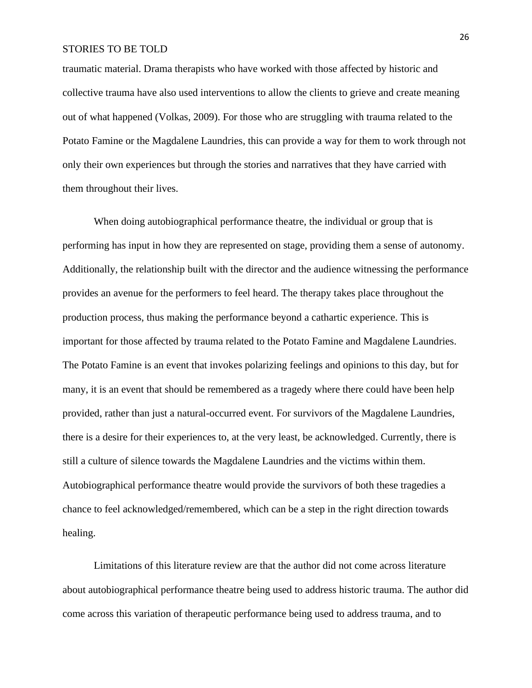traumatic material. Drama therapists who have worked with those affected by historic and collective trauma have also used interventions to allow the clients to grieve and create meaning out of what happened (Volkas, 2009). For those who are struggling with trauma related to the Potato Famine or the Magdalene Laundries, this can provide a way for them to work through not only their own experiences but through the stories and narratives that they have carried with them throughout their lives.

When doing autobiographical performance theatre, the individual or group that is performing has input in how they are represented on stage, providing them a sense of autonomy. Additionally, the relationship built with the director and the audience witnessing the performance provides an avenue for the performers to feel heard. The therapy takes place throughout the production process, thus making the performance beyond a cathartic experience. This is important for those affected by trauma related to the Potato Famine and Magdalene Laundries. The Potato Famine is an event that invokes polarizing feelings and opinions to this day, but for many, it is an event that should be remembered as a tragedy where there could have been help provided, rather than just a natural-occurred event. For survivors of the Magdalene Laundries, there is a desire for their experiences to, at the very least, be acknowledged. Currently, there is still a culture of silence towards the Magdalene Laundries and the victims within them. Autobiographical performance theatre would provide the survivors of both these tragedies a chance to feel acknowledged/remembered, which can be a step in the right direction towards healing.

Limitations of this literature review are that the author did not come across literature about autobiographical performance theatre being used to address historic trauma. The author did come across this variation of therapeutic performance being used to address trauma, and to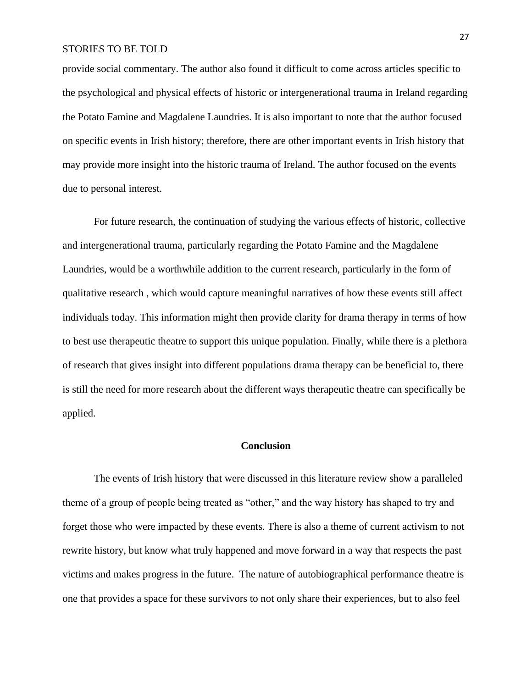provide social commentary. The author also found it difficult to come across articles specific to the psychological and physical effects of historic or intergenerational trauma in Ireland regarding the Potato Famine and Magdalene Laundries. It is also important to note that the author focused on specific events in Irish history; therefore, there are other important events in Irish history that may provide more insight into the historic trauma of Ireland. The author focused on the events due to personal interest.

For future research, the continuation of studying the various effects of historic, collective and intergenerational trauma, particularly regarding the Potato Famine and the Magdalene Laundries, would be a worthwhile addition to the current research, particularly in the form of qualitative research , which would capture meaningful narratives of how these events still affect individuals today. This information might then provide clarity for drama therapy in terms of how to best use therapeutic theatre to support this unique population. Finally, while there is a plethora of research that gives insight into different populations drama therapy can be beneficial to, there is still the need for more research about the different ways therapeutic theatre can specifically be applied.

## **Conclusion**

The events of Irish history that were discussed in this literature review show a paralleled theme of a group of people being treated as "other," and the way history has shaped to try and forget those who were impacted by these events. There is also a theme of current activism to not rewrite history, but know what truly happened and move forward in a way that respects the past victims and makes progress in the future. The nature of autobiographical performance theatre is one that provides a space for these survivors to not only share their experiences, but to also feel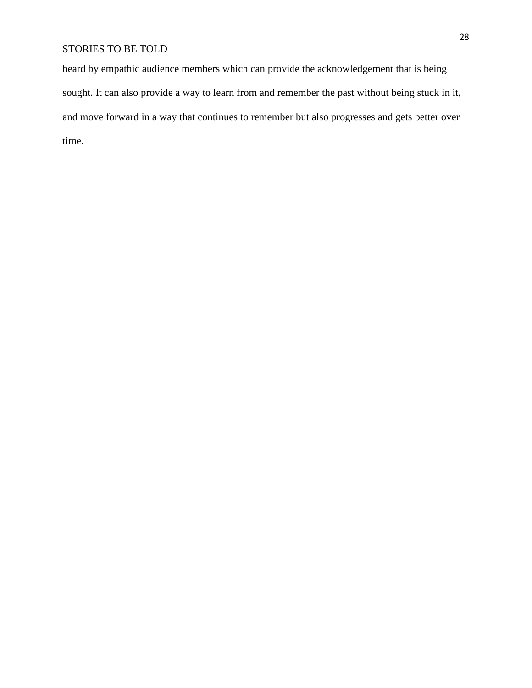heard by empathic audience members which can provide the acknowledgement that is being sought. It can also provide a way to learn from and remember the past without being stuck in it, and move forward in a way that continues to remember but also progresses and gets better over time.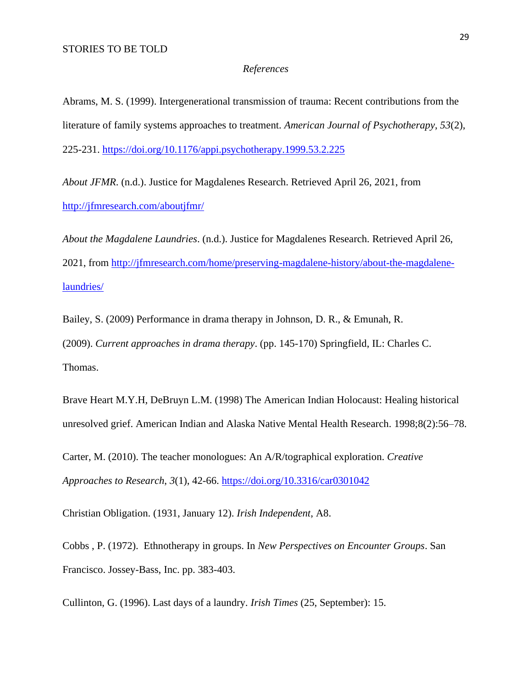## *References*

Abrams, M. S. (1999). Intergenerational transmission of trauma: Recent contributions from the literature of family systems approaches to treatment. *American Journal of Psychotherapy*, *53*(2), 225-231. <https://doi.org/10.1176/appi.psychotherapy.1999.53.2.225>

*About JFMR*. (n.d.). Justice for Magdalenes Research. Retrieved April 26, 2021, from <http://jfmresearch.com/aboutjfmr/>

*About the Magdalene Laundries*. (n.d.). Justice for Magdalenes Research. Retrieved April 26, 2021, from [http://jfmresearch.com/home/preserving-magdalene-history/about-the-magdalene](http://jfmresearch.com/home/preserving-magdalene-history/about-the-magdalene-laundries/)[laundries/](http://jfmresearch.com/home/preserving-magdalene-history/about-the-magdalene-laundries/)

Bailey, S. (2009) Performance in drama therapy in Johnson, D. R., & Emunah, R. (2009). *Current approaches in drama therapy*. (pp. 145-170) Springfield, IL: Charles C. Thomas.

Brave Heart M.Y.H, DeBruyn L.M. (1998) The American Indian Holocaust: Healing historical unresolved grief. American Indian and Alaska Native Mental Health Research. 1998;8(2):56–78.

Carter, M. (2010). The teacher monologues: An A/R/tographical exploration. *Creative Approaches to Research*, *3*(1), 42-66. <https://doi.org/10.3316/car0301042>

Christian Obligation. (1931, January 12). *Irish Independent*, A8.

Cobbs , P. (1972). Ethnotherapy in groups. In *New Perspectives on Encounter Groups*. San Francisco. Jossey-Bass, Inc. pp. 383-403.

Cullinton, G. (1996). Last days of a laundry. *Irish Times* (25, September): 15.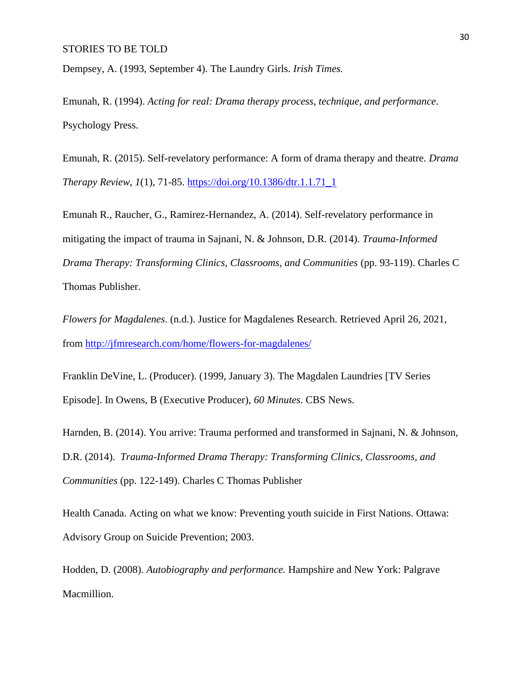Dempsey, A. (1993, September 4). The Laundry Girls. *Irish Times.* 

Emunah, R. (1994). *Acting for real: Drama therapy process, technique, and performance*. Psychology Press.

Emunah, R. (2015). Self-revelatory performance: A form of drama therapy and theatre. *Drama Therapy Review*, *1*(1), 71-85. [https://doi.org/10.1386/dtr.1.1.71\\_1](https://doi.org/10.1386/dtr.1.1.71_1)

Emunah R., Raucher, G., Ramirez-Hernandez, A. (2014). Self-revelatory performance in mitigating the impact of trauma in Sajnani, N. & Johnson, D.R. (2014). *Trauma-Informed Drama Therapy: Transforming Clinics, Classrooms, and Communities* (pp. 93-119). Charles C Thomas Publisher.

*Flowers for Magdalenes*. (n.d.). Justice for Magdalenes Research. Retrieved April 26, 2021, from<http://jfmresearch.com/home/flowers-for-magdalenes/>

Franklin DeVine, L. (Producer). (1999, January 3). The Magdalen Laundries [TV Series Episode]. In Owens, B (Executive Producer), *60 Minutes.* CBS News.

Harnden, B. (2014). You arrive: Trauma performed and transformed in Sajnani, N. & Johnson, D.R. (2014). *Trauma-Informed Drama Therapy: Transforming Clinics, Classrooms, and Communities* (pp. 122-149). Charles C Thomas Publisher

Health Canada. Acting on what we know: Preventing youth suicide in First Nations. Ottawa: Advisory Group on Suicide Prevention; 2003.

Hodden, D. (2008). *Autobiography and performance.* Hampshire and New York: Palgrave Macmillion.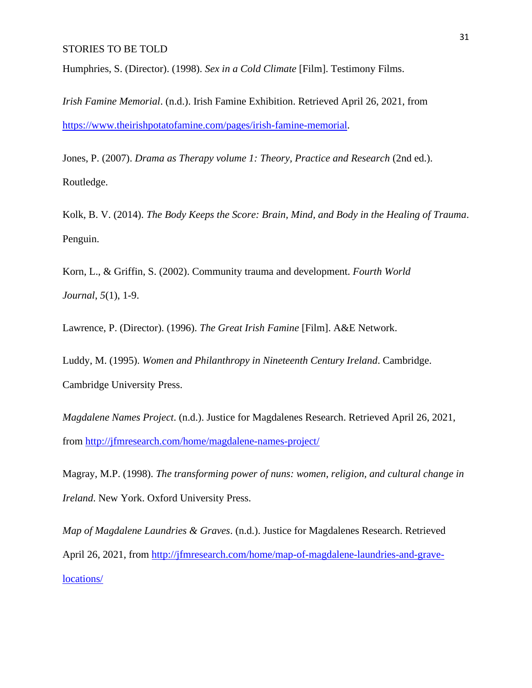Humphries, S. (Director). (1998). *Sex in a Cold Climate* [Film]. Testimony Films.

*Irish Famine Memorial*. (n.d.). Irish Famine Exhibition. Retrieved April 26, 2021, from [https://www.theirishpotatofamine.com/pages/irish-famine-memorial.](https://www.theirishpotatofamine.com/pages/irish-famine-memorial)

Jones, P. (2007). *Drama as Therapy volume 1: Theory, Practice and Research* (2nd ed.). Routledge.

Kolk, B. V. (2014). *The Body Keeps the Score: Brain, Mind, and Body in the Healing of Trauma*. Penguin.

Korn, L., & Griffin, S. (2002). Community trauma and development. *Fourth World Journal*, *5*(1), 1-9.

Lawrence, P. (Director). (1996). *The Great Irish Famine* [Film]. A&E Network.

Luddy, M. (1995). *Women and Philanthropy in Nineteenth Century Ireland*. Cambridge. Cambridge University Press.

*Magdalene Names Project*. (n.d.). Justice for Magdalenes Research. Retrieved April 26, 2021, from<http://jfmresearch.com/home/magdalene-names-project/>

Magray, M.P. (1998). *The transforming power of nuns: women, religion, and cultural change in Ireland*. New York. Oxford University Press.

*Map of Magdalene Laundries & Graves*. (n.d.). Justice for Magdalenes Research. Retrieved April 26, 2021, from [http://jfmresearch.com/home/map-of-magdalene-laundries-and-grave](http://jfmresearch.com/home/map-of-magdalene-laundries-and-grave-locations/)[locations/](http://jfmresearch.com/home/map-of-magdalene-laundries-and-grave-locations/)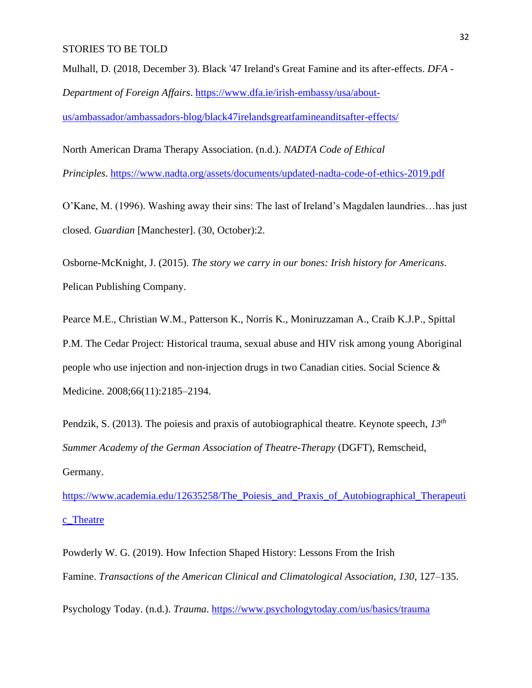Mulhall, D. (2018, December 3). Black '47 Ireland's Great Famine and its after-effects. *DFA - Department of Foreign Affairs*. [https://www.dfa.ie/irish-embassy/usa/about-](https://www.dfa.ie/irish-embassy/usa/about-us/ambassador/ambassadors-blog/black47irelandsgreatfamineanditsafter-effects/)

[us/ambassador/ambassadors-blog/black47irelandsgreatfamineanditsafter-effects/](https://www.dfa.ie/irish-embassy/usa/about-us/ambassador/ambassadors-blog/black47irelandsgreatfamineanditsafter-effects/)

North American Drama Therapy Association. (n.d.). *NADTA Code of Ethical Principles*. <https://www.nadta.org/assets/documents/updated-nadta-code-of-ethics-2019.pdf>

O'Kane, M. (1996). Washing away their sins: The last of Ireland's Magdalen laundries…has just closed. *Guardian* [Manchester]. (30, October):2.

Osborne-McKnight, J. (2015). *The story we carry in our bones: Irish history for Americans*. Pelican Publishing Company.

Pearce M.E., Christian W.M., Patterson K., Norris K., Moniruzzaman A., Craib K.J.P., Spittal P.M. The Cedar Project: Historical trauma, sexual abuse and HIV risk among young Aboriginal people who use injection and non-injection drugs in two Canadian cities. Social Science & Medicine. 2008;66(11):2185–2194.

Pendzik, S. (2013). The poiesis and praxis of autobiographical theatre. Keynote speech, *13th Summer Academy of the German Association of Theatre-Therapy* (DGFT), Remscheid, Germany.

[https://www.academia.edu/12635258/The\\_Poiesis\\_and\\_Praxis\\_of\\_Autobiographical\\_Therapeuti](https://www.academia.edu/12635258/The_Poiesis_and_Praxis_of_Autobiographical_Therapeutic_Theatre) [c\\_Theatre](https://www.academia.edu/12635258/The_Poiesis_and_Praxis_of_Autobiographical_Therapeutic_Theatre)

Powderly W. G. (2019). How Infection Shaped History: Lessons From the Irish Famine. *Transactions of the American Clinical and Climatological Association*, *130*, 127–135.

Psychology Today. (n.d.). *Trauma*. <https://www.psychologytoday.com/us/basics/trauma>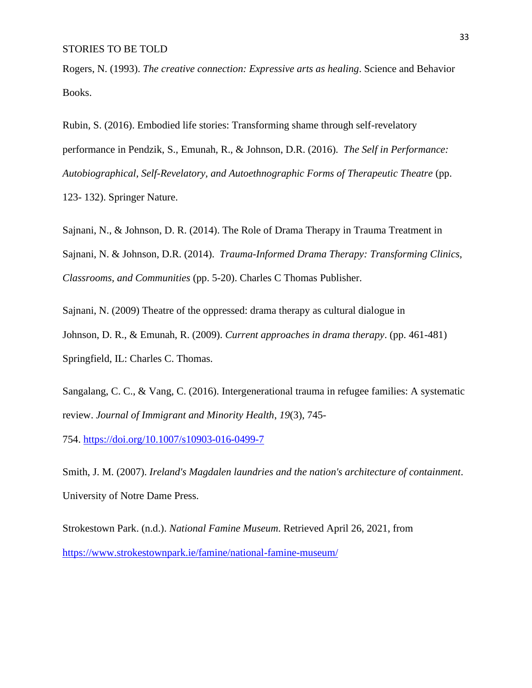Rogers, N. (1993). *The creative connection: Expressive arts as healing*. Science and Behavior Books.

Rubin, S. (2016). Embodied life stories: Transforming shame through self-revelatory performance in Pendzik, S., Emunah, R., & Johnson, D.R. (2016). *The Self in Performance:*  Autobiographical, Self-Revelatory, and Autoethnographic Forms of Therapeutic Theatre (pp. 123- 132). Springer Nature.

Sajnani, N., & Johnson, D. R. (2014). The Role of Drama Therapy in Trauma Treatment in Sajnani, N. & Johnson, D.R. (2014). *Trauma-Informed Drama Therapy: Transforming Clinics, Classrooms, and Communities* (pp. 5-20). Charles C Thomas Publisher.

Sajnani, N. (2009) Theatre of the oppressed: drama therapy as cultural dialogue in Johnson, D. R., & Emunah, R. (2009). *Current approaches in drama therapy*. (pp. 461-481) Springfield, IL: Charles C. Thomas.

Sangalang, C. C., & Vang, C. (2016). Intergenerational trauma in refugee families: A systematic review. *Journal of Immigrant and Minority Health*, *19*(3), 745-

754. <https://doi.org/10.1007/s10903-016-0499-7>

Smith, J. M. (2007). *Ireland's Magdalen laundries and the nation's architecture of containment*. University of Notre Dame Press.

Strokestown Park. (n.d.). *National Famine Museum*. Retrieved April 26, 2021, from <https://www.strokestownpark.ie/famine/national-famine-museum/>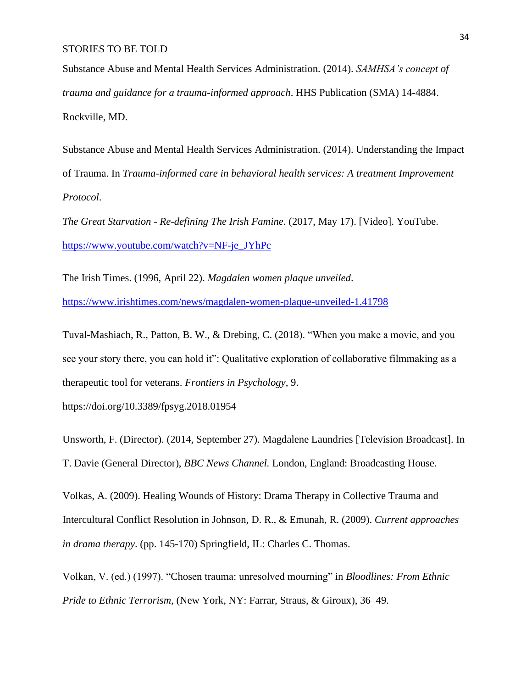Substance Abuse and Mental Health Services Administration. (2014). *SAMHSA's concept of trauma and guidance for a trauma-informed approach*. HHS Publication (SMA) 14-4884. Rockville, MD.

Substance Abuse and Mental Health Services Administration. (2014). Understanding the Impact of Trauma. In *Trauma-informed care in behavioral health services: A treatment Improvement Protocol*.

*The Great Starvation - Re-defining The Irish Famine*. (2017, May 17). [Video]. YouTube. [https://www.youtube.com/watch?v=NF-je\\_JYhPc](https://www.youtube.com/watch?v=NF-je_JYhPc)

The Irish Times. (1996, April 22). *Magdalen women plaque unveiled*. <https://www.irishtimes.com/news/magdalen-women-plaque-unveiled-1.41798>

Tuval-Mashiach, R., Patton, B. W., & Drebing, C. (2018). "When you make a movie, and you see your story there, you can hold it": Qualitative exploration of collaborative filmmaking as a therapeutic tool for veterans. *Frontiers in Psychology*, 9.

https://doi.org/10.3389/fpsyg.2018.01954

Unsworth, F. (Director). (2014, September 27). Magdalene Laundries [Television Broadcast]. In T. Davie (General Director), *BBC News Channel.* London, England: Broadcasting House.

Volkas, A. (2009). Healing Wounds of History: Drama Therapy in Collective Trauma and Intercultural Conflict Resolution in Johnson, D. R., & Emunah, R. (2009). *Current approaches in drama therapy*. (pp. 145-170) Springfield, IL: Charles C. Thomas.

Volkan, V. (ed.) (1997). "Chosen trauma: unresolved mourning" in *Bloodlines: From Ethnic Pride to Ethnic Terrorism,* (New York, NY: Farrar, Straus, & Giroux), 36–49.